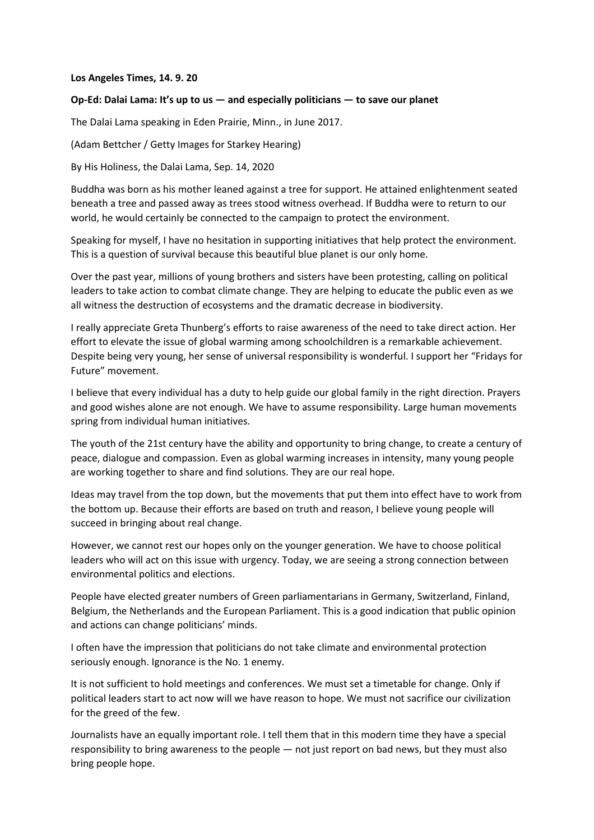## **Los Angeles Times, 14. 9. 20**

## **Op-Ed: Dalai Lama: It's up to us — and especially politicians — to save our planet**

The Dalai Lama speaking in Eden Prairie, Minn., in June 2017.

(Adam Bettcher / Getty Images for Starkey Hearing)

By His Holiness, the Dalai Lama, Sep. 14, 2020

Buddha was born as his mother leaned against a tree for support. He attained enlightenment seated beneath a tree and passed away as trees stood witness overhead. If Buddha were to return to our world, he would certainly be connected to the campaign to protect the environment.

Speaking for myself, I have no hesitation in supporting initiatives that help protect the environment. This is a question of survival because this beautiful blue planet is our only home.

Over the past year, millions of young brothers and sisters have been protesting, calling on political leaders to take action to combat climate change. They are helping to educate the public even as we all witness the destruction of ecosystems and the dramatic decrease in biodiversity.

I really appreciate Greta Thunberg's efforts to raise awareness of the need to take direct action. Her effort to elevate the issue of global warming among schoolchildren is a remarkable achievement. Despite being very young, her sense of universal responsibility is wonderful. I support her "Fridays for Future" movement.

I believe that every individual has a duty to help guide our global family in the right direction. Prayers and good wishes alone are not enough. We have to assume responsibility. Large human movements spring from individual human initiatives.

The youth of the 21st century have the ability and opportunity to bring change, to create a century of peace, dialogue and compassion. Even as global warming increases in intensity, many young people are working together to share and find solutions. They are our real hope.

Ideas may travel from the top down, but the movements that put them into effect have to work from the bottom up. Because their efforts are based on truth and reason, I believe young people will succeed in bringing about real change.

However, we cannot rest our hopes only on the younger generation. We have to choose political leaders who will act on this issue with urgency. Today, we are seeing a strong connection between environmental politics and elections.

People have [elected greater numbers](https://www.ft.com/content/a535ed94-aa30-11e9-90e9-fc4b9d9528b4) of Green parliamentarians in Germany, Switzerland, Finland, Belgium, the Netherlands and the European Parliament. This is a good indication that public opinion and actions can change politicians' minds.

I often have the impression that politicians do not take climate and environmental protection seriously enough. Ignorance is the No. 1 enemy.

It is not sufficient to hold meetings and conferences. We must set a timetable for change. Only if political leaders start to act now will we have reason to hope. We must not sacrifice our civilization for the greed of the few.

Journalists have an equally important role. I tell them that in this modern time they have a special responsibility to bring awareness to the people — not just report on bad news, but they must also bring people hope.